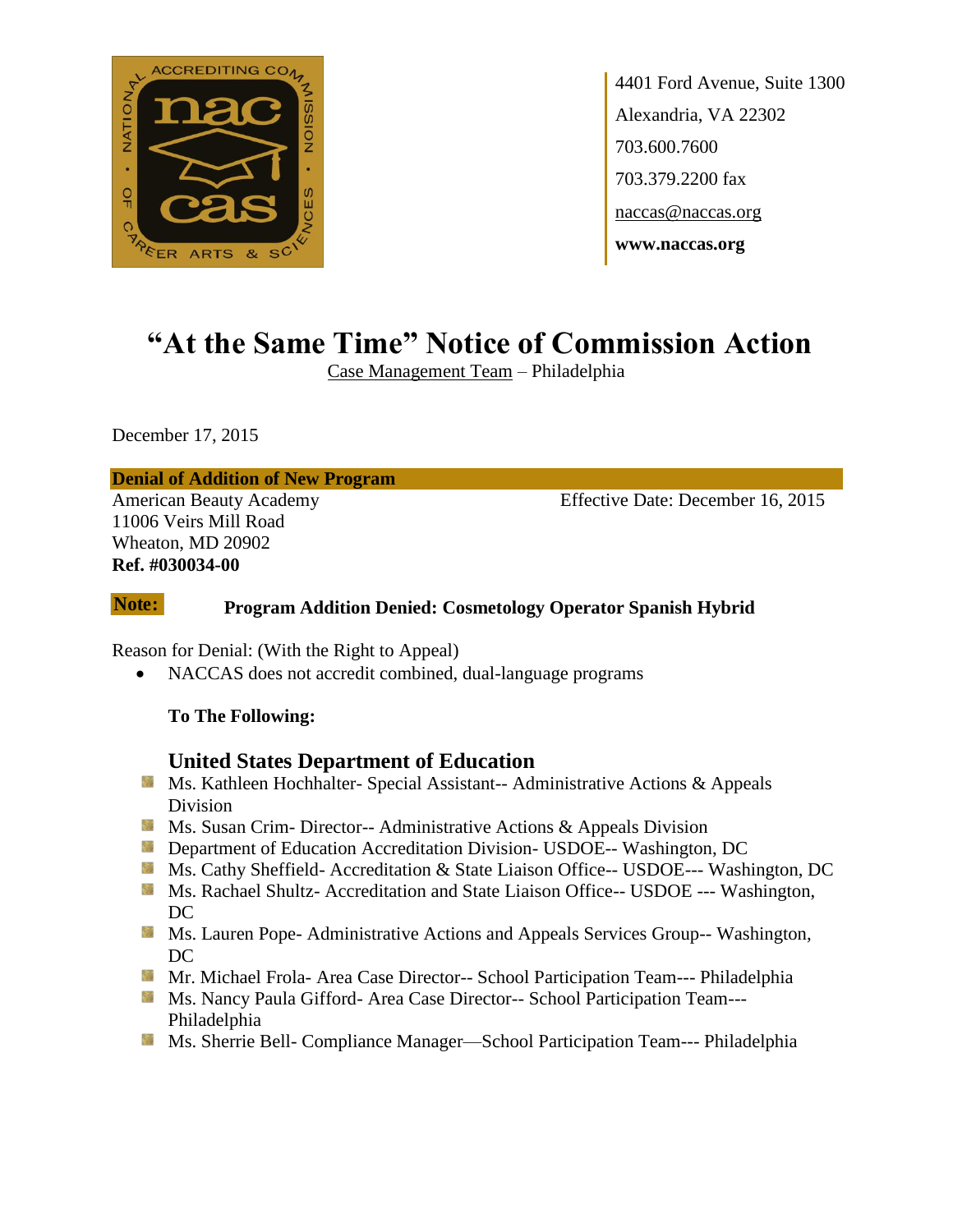

4401 Ford Avenue, Suite 1300 Alexandria, VA 22302 703.600.7600 703.379.2200 fax naccas@naccas.org **www.naccas.org**

# **"At the Same Time" Notice of Commission Action**

Case Management Team – Philadelphia

December 17, 2015

**Denial of Addition of New Program**

11006 Veirs Mill Road Wheaton, MD 20902 **Ref. #030034-00**

American Beauty Academy **Effective Date: December 16, 2015** 

#### **Program Addition Denied: Cosmetology Operator Spanish Hybrid Note:**

Reason for Denial: (With the Right to Appeal)

NACCAS does not accredit combined, dual-language programs

#### **To The Following:**

### **United States Department of Education**

- **Ms. Kathleen Hochhalter- Special Assistant-- Administrative Actions & Appeals** Division
- **Ms.** Susan Crim-Director-- Administrative Actions  $\&$  Appeals Division
- **Department of Education Accreditation Division- USDOE-- Washington, DC**
- Ms. Cathy Sheffield- Accreditation & State Liaison Office-- USDOE--- Washington, DC
- **Ms. Rachael Shultz- Accreditation and State Liaison Office-- USDOE --- Washington,** DC
- **Ms. Lauren Pope- Administrative Actions and Appeals Services Group-- Washington,** DC.
- **Mr. Michael Frola- Area Case Director-- School Participation Team--- Philadelphia**
- Ms. Nancy Paula Gifford- Area Case Director-- School Participation Team---Philadelphia
- **MS.** Sherrie Bell- Compliance Manager—School Participation Team--- Philadelphia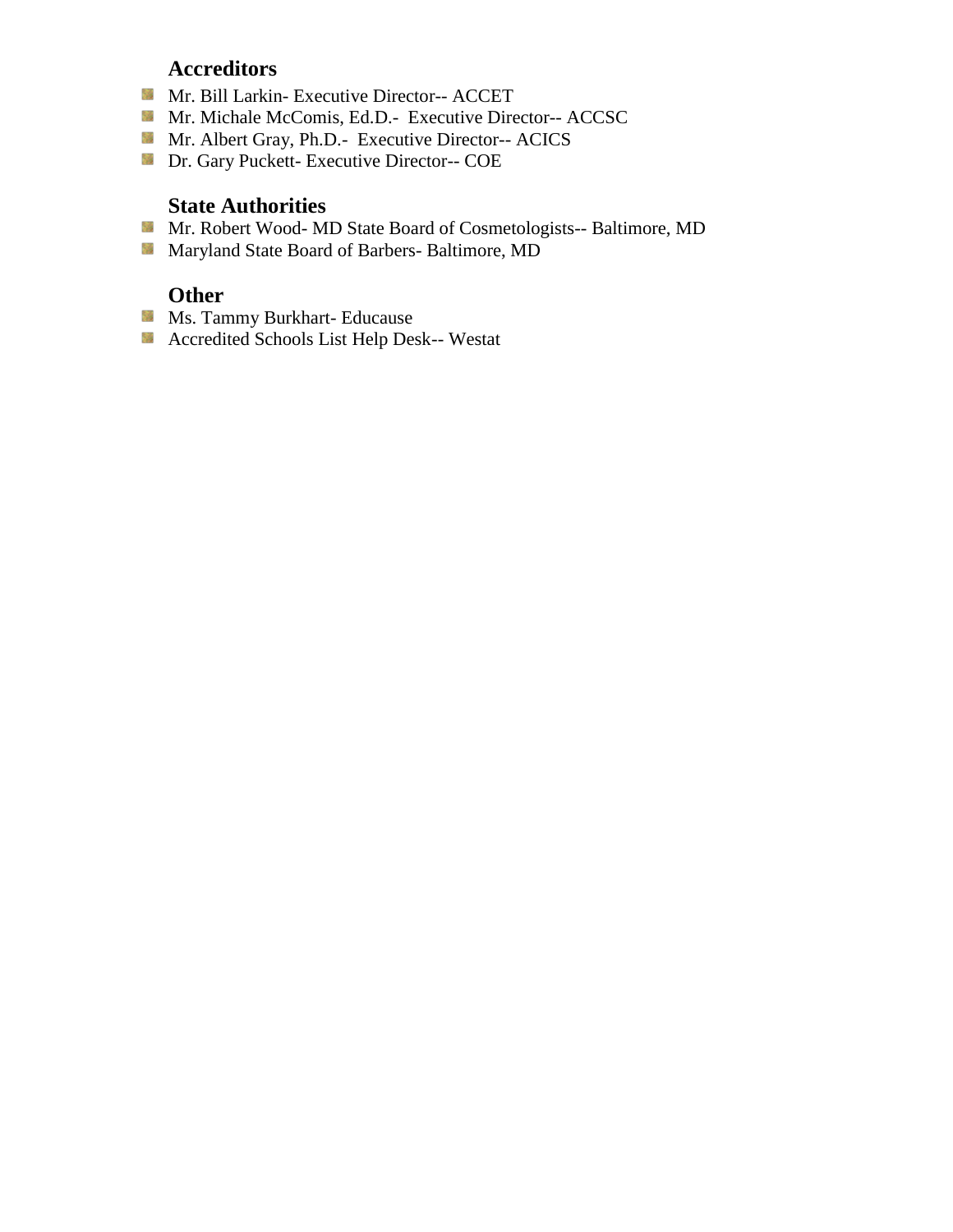# **Accreditors**

- Mr. Bill Larkin- Executive Director-- ACCET
- Mr. Michale McComis, Ed.D.- Executive Director-- ACCSC
- Mr. Albert Gray, Ph.D.- Executive Director-- ACICS
- Dr. Gary Puckett- Executive Director-- COE

### **State Authorities**

- Mr. Robert Wood- MD State Board of Cosmetologists-- Baltimore, MD
- Maryland State Board of Barbers- Baltimore, MD

# **Other**

- **Ms. Tammy Burkhart- Educause**
- Accredited Schools List Help Desk-- Westat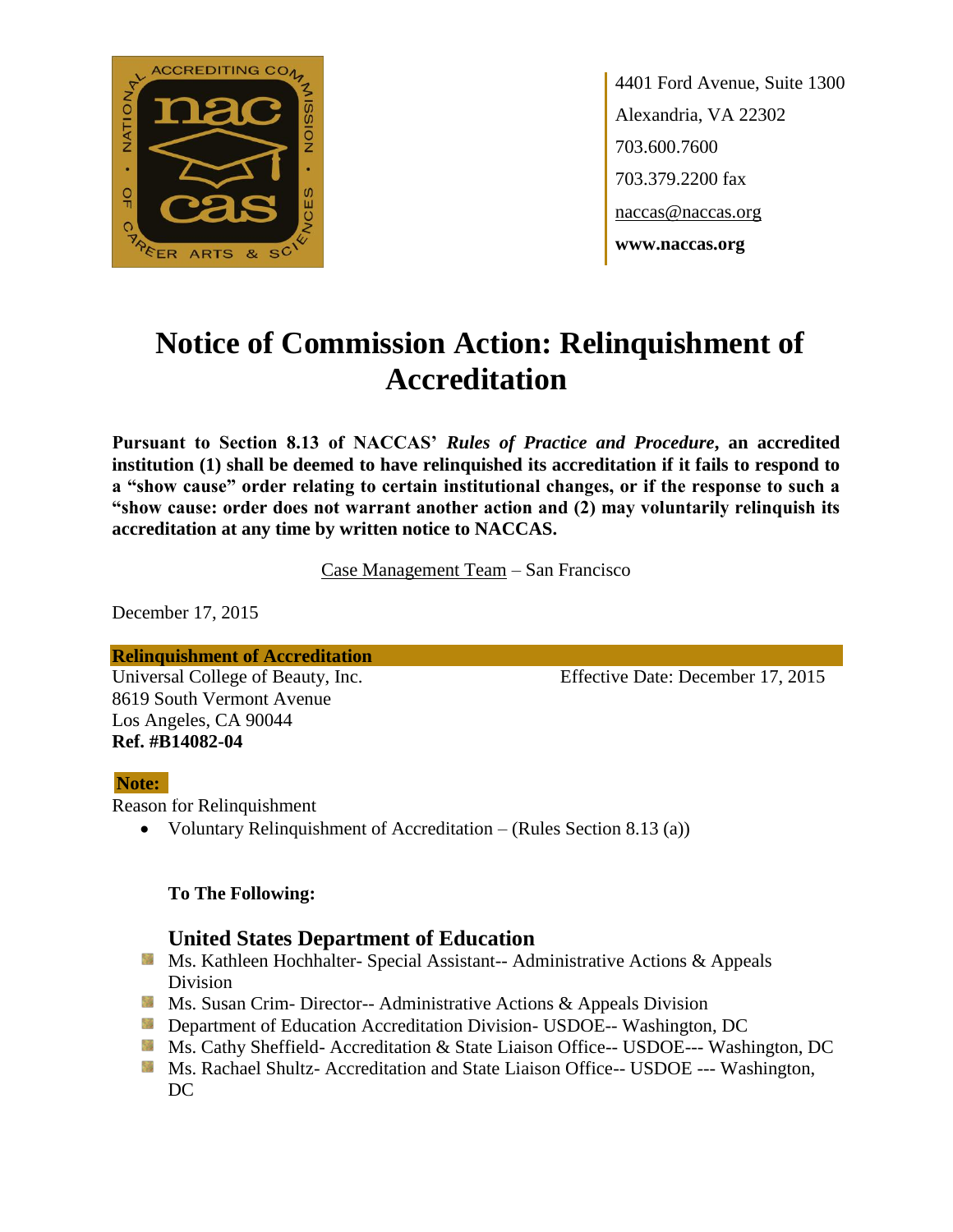

4401 Ford Avenue, Suite 1300 Alexandria, VA 22302 703.600.7600 703.379.2200 fax naccas@naccas.org **www.naccas.org**

# **Notice of Commission Action: Relinquishment of Accreditation**

**Pursuant to Section 8.13 of NACCAS'** *Rules of Practice and Procedure***, an accredited institution (1) shall be deemed to have relinquished its accreditation if it fails to respond to a "show cause" order relating to certain institutional changes, or if the response to such a "show cause: order does not warrant another action and (2) may voluntarily relinquish its accreditation at any time by written notice to NACCAS.**

Case Management Team – San Francisco

December 17, 2015

**Relinquishment of Accreditation**

8619 South Vermont Avenue Los Angeles, CA 90044 **Ref. #B14082-04**

Universal College of Beauty, Inc. Effective Date: December 17, 2015

### **Note:**

Reason for Relinquishment

Voluntary Relinquishment of Accreditation – (Rules Section 8.13 (a))

### **To The Following:**

# **United States Department of Education**

- **Ms. Kathleen Hochhalter- Special Assistant-- Administrative Actions & Appeals** Division
- **Ms. Susan Crim- Director-- Administrative Actions & Appeals Division**
- **Department of Education Accreditation Division- USDOE-- Washington, DC**
- Ms. Cathy Sheffield- Accreditation & State Liaison Office-- USDOE--- Washington, DC
- **MS. Rachael Shultz- Accreditation and State Liaison Office-- USDOE --- Washington,** DC